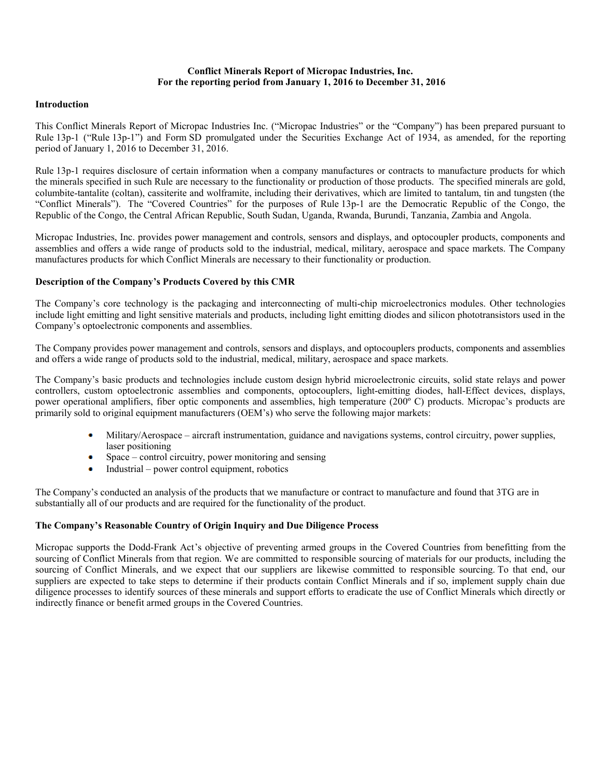### **Conflict Minerals Report of Micropac Industries, Inc. For the reporting period from January 1, 2016 to December 31, 2016**

#### **Introduction**

This Conflict Minerals Report of Micropac Industries Inc. ("Micropac Industries" or the "Company") has been prepared pursuant to Rule 13p-1 ("Rule 13p-1") and Form SD promulgated under the Securities Exchange Act of 1934, as amended, for the reporting period of January 1, 2016 to December 31, 2016.

Rule 13p-1 requires disclosure of certain information when a company manufactures or contracts to manufacture products for which the minerals specified in such Rule are necessary to the functionality or production of those products. The specified minerals are gold, columbite-tantalite (coltan), cassiterite and wolframite, including their derivatives, which are limited to tantalum, tin and tungsten (the "Conflict Minerals"). The "Covered Countries" for the purposes of Rule 13p-1 are the Democratic Republic of the Congo, the Republic of the Congo, the Central African Republic, South Sudan, Uganda, Rwanda, Burundi, Tanzania, Zambia and Angola.

Micropac Industries, Inc. provides power management and controls, sensors and displays, and optocoupler products, components and assemblies and offers a wide range of products sold to the industrial, medical, military, aerospace and space markets. The Company manufactures products for which Conflict Minerals are necessary to their functionality or production.

# **Description of the Company's Products Covered by this CMR**

The Company's core technology is the packaging and interconnecting of multi-chip microelectronics modules. Other technologies include light emitting and light sensitive materials and products, including light emitting diodes and silicon phototransistors used in the Company's optoelectronic components and assemblies.

The Company provides power management and controls, sensors and displays, and optocouplers products, components and assemblies and offers a wide range of products sold to the industrial, medical, military, aerospace and space markets.

The Company's basic products and technologies include custom design hybrid microelectronic circuits, solid state relays and power controllers, custom optoelectronic assemblies and components, optocouplers, light-emitting diodes, hall-Effect devices, displays, power operational amplifiers, fiber optic components and assemblies, high temperature (200º C) products. Micropac's products are primarily sold to original equipment manufacturers (OEM's) who serve the following major markets:

- Military/Aerospace aircraft instrumentation, guidance and navigations systems, control circuitry, power supplies, laser positioning
- $\bullet$  . Space – control circuitry, power monitoring and sensing
- $\bullet$  Industrial power control equipment, robotics

The Company's conducted an analysis of the products that we manufacture or contract to manufacture and found that 3TG are in substantially all of our products and are required for the functionality of the product.

# **The Company's Reasonable Country of Origin Inquiry and Due Diligence Process**

Micropac supports the Dodd-Frank Act's objective of preventing armed groups in the Covered Countries from benefitting from the sourcing of Conflict Minerals from that region. We are committed to responsible sourcing of materials for our products, including the sourcing of Conflict Minerals, and we expect that our suppliers are likewise committed to responsible sourcing. To that end, our suppliers are expected to take steps to determine if their products contain Conflict Minerals and if so, implement supply chain due diligence processes to identify sources of these minerals and support efforts to eradicate the use of Conflict Minerals which directly or indirectly finance or benefit armed groups in the Covered Countries.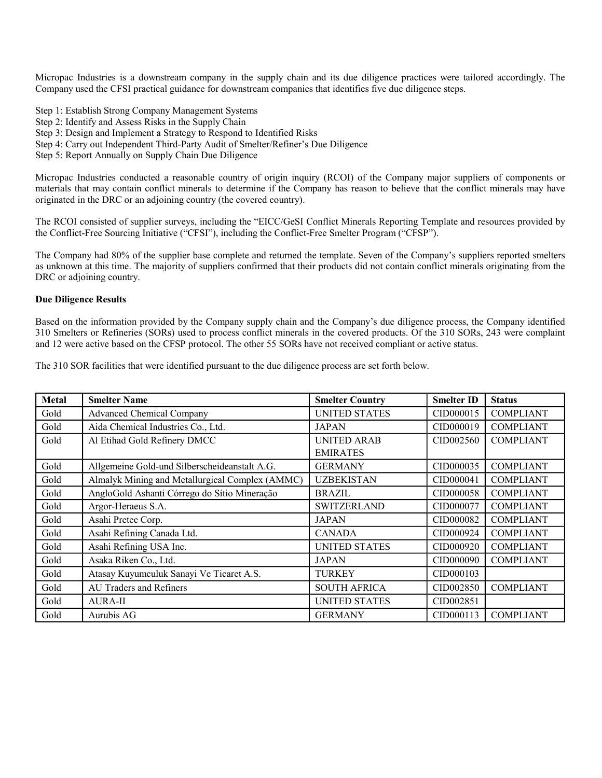Micropac Industries is a downstream company in the supply chain and its due diligence practices were tailored accordingly. The Company used the CFSI practical guidance for downstream companies that identifies five due diligence steps.

Step 1: Establish Strong Company Management Systems

- Step 2: Identify and Assess Risks in the Supply Chain
- Step 3: Design and Implement a Strategy to Respond to Identified Risks
- Step 4: Carry out Independent Third-Party Audit of Smelter/Refiner's Due Diligence
- Step 5: Report Annually on Supply Chain Due Diligence

Micropac Industries conducted a reasonable country of origin inquiry (RCOI) of the Company major suppliers of components or materials that may contain conflict minerals to determine if the Company has reason to believe that the conflict minerals may have originated in the DRC or an adjoining country (the covered country).

The RCOI consisted of supplier surveys, including the "EICC/GeSI Conflict Minerals Reporting Template and resources provided by the Conflict-Free Sourcing Initiative ("CFSI"), including the Conflict-Free Smelter Program ("CFSP").

The Company had 80% of the supplier base complete and returned the template. Seven of the Company's suppliers reported smelters as unknown at this time. The majority of suppliers confirmed that their products did not contain conflict minerals originating from the DRC or adjoining country.

#### **Due Diligence Results**

Based on the information provided by the Company supply chain and the Company's due diligence process, the Company identified 310 Smelters or Refineries (SORs) used to process conflict minerals in the covered products. Of the 310 SORs, 243 were complaint and 12 were active based on the CFSP protocol. The other 55 SORs have not received compliant or active status.

|  |  | The 310 SOR facilities that were identified pursuant to the due diligence process are set forth below. |  |
|--|--|--------------------------------------------------------------------------------------------------------|--|
|  |  |                                                                                                        |  |

| Metal | <b>Smelter Name</b>                             | <b>Smelter Country</b> | <b>Smelter ID</b> | <b>Status</b>    |
|-------|-------------------------------------------------|------------------------|-------------------|------------------|
| Gold  | <b>Advanced Chemical Company</b>                | UNITED STATES          | CID000015         | <b>COMPLIANT</b> |
| Gold  | Aida Chemical Industries Co., Ltd.              | <b>JAPAN</b>           | CID000019         | <b>COMPLIANT</b> |
| Gold  | Al Etihad Gold Refinery DMCC                    | <b>UNITED ARAB</b>     | CID002560         | <b>COMPLIANT</b> |
|       |                                                 | <b>EMIRATES</b>        |                   |                  |
| Gold  | Allgemeine Gold-und Silberscheideanstalt A.G.   | <b>GERMANY</b>         | CID000035         | <b>COMPLIANT</b> |
| Gold  | Almalyk Mining and Metallurgical Complex (AMMC) | <b>UZBEKISTAN</b>      | CID000041         | <b>COMPLIANT</b> |
| Gold  | AngloGold Ashanti Córrego do Sítio Mineração    | <b>BRAZIL</b>          | CID000058         | <b>COMPLIANT</b> |
| Gold  | Argor-Heraeus S.A.                              | <b>SWITZERLAND</b>     | CID000077         | <b>COMPLIANT</b> |
| Gold  | Asahi Pretec Corp.                              | <b>JAPAN</b>           | CID000082         | <b>COMPLIANT</b> |
| Gold  | Asahi Refining Canada Ltd.                      | <b>CANADA</b>          | CID000924         | <b>COMPLIANT</b> |
| Gold  | Asahi Refining USA Inc.                         | UNITED STATES          | CID000920         | <b>COMPLIANT</b> |
| Gold  | Asaka Riken Co., Ltd.                           | <b>JAPAN</b>           | CID000090         | <b>COMPLIANT</b> |
| Gold  | Atasay Kuyumculuk Sanayi Ve Ticaret A.S.        | <b>TURKEY</b>          | CID000103         |                  |
| Gold  | AU Traders and Refiners                         | <b>SOUTH AFRICA</b>    | CID002850         | <b>COMPLIANT</b> |
| Gold  | <b>AURA-II</b>                                  | <b>UNITED STATES</b>   | CID002851         |                  |
| Gold  | Aurubis AG                                      | <b>GERMANY</b>         | CID000113         | <b>COMPLIANT</b> |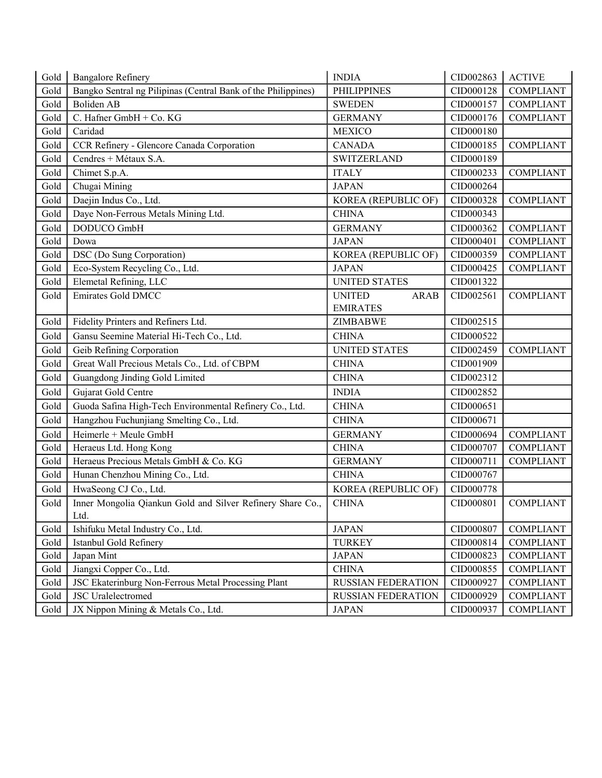| Gold | <b>Bangalore Refinery</b>                                     | <b>INDIA</b>                 | CID002863 | <b>ACTIVE</b>    |
|------|---------------------------------------------------------------|------------------------------|-----------|------------------|
| Gold | Bangko Sentral ng Pilipinas (Central Bank of the Philippines) | <b>PHILIPPINES</b>           | CID000128 | <b>COMPLIANT</b> |
| Gold | Boliden AB                                                    | <b>SWEDEN</b>                | CID000157 | <b>COMPLIANT</b> |
| Gold | C. Hafner GmbH + Co. KG                                       | <b>GERMANY</b>               | CID000176 | <b>COMPLIANT</b> |
| Gold | Caridad                                                       | <b>MEXICO</b>                | CID000180 |                  |
| Gold | CCR Refinery - Glencore Canada Corporation                    | <b>CANADA</b>                | CID000185 | <b>COMPLIANT</b> |
| Gold | Cendres + Métaux S.A.                                         | <b>SWITZERLAND</b>           | CID000189 |                  |
| Gold | Chimet S.p.A.                                                 | <b>ITALY</b>                 | CID000233 | <b>COMPLIANT</b> |
| Gold | Chugai Mining                                                 | <b>JAPAN</b>                 | CID000264 |                  |
| Gold | Daejin Indus Co., Ltd.                                        | KOREA (REPUBLIC OF)          | CID000328 | <b>COMPLIANT</b> |
| Gold | Daye Non-Ferrous Metals Mining Ltd.                           | <b>CHINA</b>                 | CID000343 |                  |
| Gold | DODUCO GmbH                                                   | <b>GERMANY</b>               | CID000362 | <b>COMPLIANT</b> |
| Gold | Dowa                                                          | <b>JAPAN</b>                 | CID000401 | <b>COMPLIANT</b> |
| Gold | DSC (Do Sung Corporation)                                     | KOREA (REPUBLIC OF)          | CID000359 | <b>COMPLIANT</b> |
| Gold | Eco-System Recycling Co., Ltd.                                | <b>JAPAN</b>                 | CID000425 | <b>COMPLIANT</b> |
| Gold | Elemetal Refining, LLC                                        | <b>UNITED STATES</b>         | CID001322 |                  |
| Gold | <b>Emirates Gold DMCC</b>                                     | <b>UNITED</b><br><b>ARAB</b> | CID002561 | <b>COMPLIANT</b> |
|      |                                                               | <b>EMIRATES</b>              |           |                  |
| Gold | Fidelity Printers and Refiners Ltd.                           | <b>ZIMBABWE</b>              | CID002515 |                  |
| Gold | Gansu Seemine Material Hi-Tech Co., Ltd.                      | <b>CHINA</b>                 | CID000522 |                  |
| Gold | Geib Refining Corporation                                     | <b>UNITED STATES</b>         | CID002459 | <b>COMPLIANT</b> |
| Gold | Great Wall Precious Metals Co., Ltd. of CBPM                  | <b>CHINA</b>                 | CID001909 |                  |
| Gold | Guangdong Jinding Gold Limited                                | <b>CHINA</b>                 | CID002312 |                  |
| Gold | Gujarat Gold Centre                                           | <b>INDIA</b>                 | CID002852 |                  |
| Gold | Guoda Safina High-Tech Environmental Refinery Co., Ltd.       | <b>CHINA</b>                 | CID000651 |                  |
| Gold | Hangzhou Fuchunjiang Smelting Co., Ltd.                       | <b>CHINA</b>                 | CID000671 |                  |
| Gold | Heimerle + Meule GmbH                                         | <b>GERMANY</b>               | CID000694 | <b>COMPLIANT</b> |
| Gold | Heraeus Ltd. Hong Kong                                        | <b>CHINA</b>                 | CID000707 | <b>COMPLIANT</b> |
| Gold | Heraeus Precious Metals GmbH & Co. KG                         | <b>GERMANY</b>               | CID000711 | <b>COMPLIANT</b> |
| Gold | Hunan Chenzhou Mining Co., Ltd.                               | <b>CHINA</b>                 | CID000767 |                  |
| Gold | HwaSeong CJ Co., Ltd.                                         | <b>KOREA (REPUBLIC OF)</b>   | CID000778 |                  |
| Gold | Inner Mongolia Qiankun Gold and Silver Refinery Share Co.,    | <b>CHINA</b>                 | CID000801 | <b>COMPLIANT</b> |
|      | Ltd.                                                          |                              |           |                  |
| Gold | Ishifuku Metal Industry Co., Ltd.                             | <b>JAPAN</b>                 | CID000807 | <b>COMPLIANT</b> |
| Gold | Istanbul Gold Refinery                                        | <b>TURKEY</b>                | CID000814 | <b>COMPLIANT</b> |
| Gold | Japan Mint                                                    | <b>JAPAN</b>                 | CID000823 | <b>COMPLIANT</b> |
| Gold | Jiangxi Copper Co., Ltd.                                      | <b>CHINA</b>                 | CID000855 | <b>COMPLIANT</b> |
| Gold | JSC Ekaterinburg Non-Ferrous Metal Processing Plant           | <b>RUSSIAN FEDERATION</b>    | CID000927 | <b>COMPLIANT</b> |
| Gold | <b>JSC</b> Uralelectromed                                     | RUSSIAN FEDERATION           | CID000929 | <b>COMPLIANT</b> |
| Gold | JX Nippon Mining & Metals Co., Ltd.                           | <b>JAPAN</b>                 | CID000937 | <b>COMPLIANT</b> |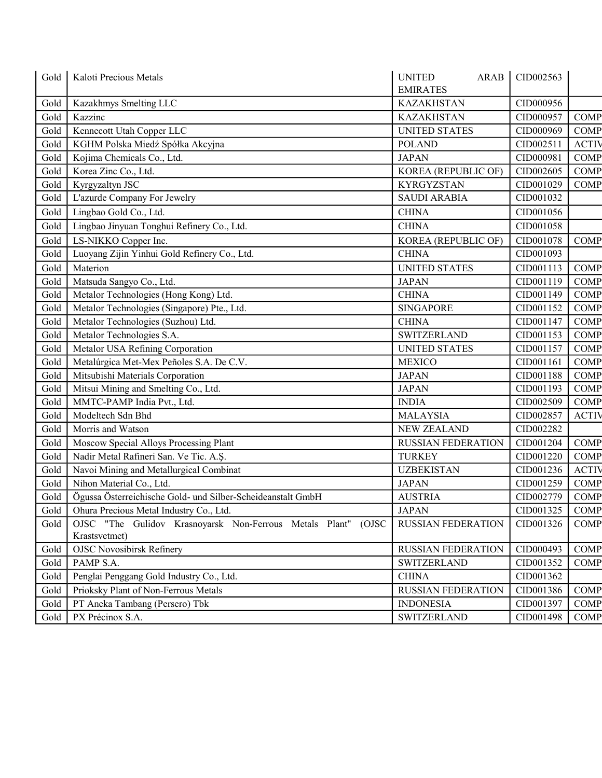| Gold | Kaloti Precious Metals                                                         | <b>UNITED</b><br><b>ARAB</b>         | CID002563 |              |
|------|--------------------------------------------------------------------------------|--------------------------------------|-----------|--------------|
|      |                                                                                | <b>EMIRATES</b><br><b>KAZAKHSTAN</b> | CID000956 |              |
| Gold | Kazakhmys Smelting LLC                                                         |                                      |           |              |
| Gold | Kazzinc                                                                        | <b>KAZAKHSTAN</b>                    | CID000957 | <b>COMP</b>  |
| Gold | Kennecott Utah Copper LLC                                                      | <b>UNITED STATES</b>                 | CID000969 | <b>COMP</b>  |
| Gold | KGHM Polska Miedź Spółka Akcyjna                                               | <b>POLAND</b>                        | CID002511 | <b>ACTIV</b> |
| Gold | Kojima Chemicals Co., Ltd.                                                     | <b>JAPAN</b>                         | CID000981 | <b>COMP</b>  |
| Gold | Korea Zinc Co., Ltd.                                                           | KOREA (REPUBLIC OF)                  | CID002605 | <b>COMP</b>  |
| Gold | Kyrgyzaltyn JSC                                                                | <b>KYRGYZSTAN</b>                    | CID001029 | <b>COMP</b>  |
| Gold | L'azurde Company For Jewelry                                                   | <b>SAUDI ARABIA</b>                  | CID001032 |              |
| Gold | Lingbao Gold Co., Ltd.                                                         | <b>CHINA</b>                         | CID001056 |              |
| Gold | Lingbao Jinyuan Tonghui Refinery Co., Ltd.                                     | <b>CHINA</b>                         | CID001058 |              |
| Gold | LS-NIKKO Copper Inc.                                                           | KOREA (REPUBLIC OF)                  | CID001078 | COMP         |
| Gold | Luoyang Zijin Yinhui Gold Refinery Co., Ltd.                                   | <b>CHINA</b>                         | CID001093 |              |
| Gold | Materion                                                                       | <b>UNITED STATES</b>                 | CID001113 | <b>COMP</b>  |
| Gold | Matsuda Sangyo Co., Ltd.                                                       | <b>JAPAN</b>                         | CID001119 | <b>COMP</b>  |
| Gold | Metalor Technologies (Hong Kong) Ltd.                                          | <b>CHINA</b>                         | CID001149 | <b>COMP</b>  |
| Gold | Metalor Technologies (Singapore) Pte., Ltd.                                    | <b>SINGAPORE</b>                     | CID001152 | <b>COMP</b>  |
| Gold | Metalor Technologies (Suzhou) Ltd.                                             | <b>CHINA</b>                         | CID001147 | <b>COMP</b>  |
| Gold | Metalor Technologies S.A.                                                      | <b>SWITZERLAND</b>                   | CID001153 | <b>COMP</b>  |
| Gold | Metalor USA Refining Corporation                                               | <b>UNITED STATES</b>                 | CID001157 | <b>COMP</b>  |
| Gold | Metalúrgica Met-Mex Peñoles S.A. De C.V.                                       | <b>MEXICO</b>                        | CID001161 | <b>COMP</b>  |
| Gold | Mitsubishi Materials Corporation                                               | <b>JAPAN</b>                         | CID001188 | <b>COMP</b>  |
| Gold | Mitsui Mining and Smelting Co., Ltd.                                           | <b>JAPAN</b>                         | CID001193 | <b>COMP</b>  |
| Gold | MMTC-PAMP India Pvt., Ltd.                                                     | <b>INDIA</b>                         | CID002509 | <b>COMP</b>  |
| Gold | Modeltech Sdn Bhd                                                              | <b>MALAYSIA</b>                      | CID002857 | <b>ACTIV</b> |
| Gold | Morris and Watson                                                              | <b>NEW ZEALAND</b>                   | CID002282 |              |
| Gold | Moscow Special Alloys Processing Plant                                         | <b>RUSSIAN FEDERATION</b>            | CID001204 | <b>COMP</b>  |
| Gold | Nadir Metal Rafineri San. Ve Tic. A.Ş.                                         | <b>TURKEY</b>                        | CID001220 | <b>COMP</b>  |
| Gold | Navoi Mining and Metallurgical Combinat                                        | <b>UZBEKISTAN</b>                    | CID001236 | <b>ACTIV</b> |
| Gold | Nihon Material Co., Ltd.                                                       | <b>JAPAN</b>                         | CID001259 | <b>COMP</b>  |
| Gold | Ögussa Österreichische Gold- und Silber-Scheideanstalt GmbH                    | <b>AUSTRIA</b>                       | CID002779 | <b>COMP</b>  |
| Gold | Ohura Precious Metal Industry Co., Ltd.                                        | JAPAN                                | CID001325 | <b>COMP</b>  |
| Gold | OJSC "The Gulidov Krasnoyarsk Non-Ferrous Metals Plant" (OJSC<br>Krastsvetmet) | <b>RUSSIAN FEDERATION</b>            | CID001326 | <b>COMP</b>  |
| Gold | <b>OJSC Novosibirsk Refinery</b>                                               | RUSSIAN FEDERATION                   | CID000493 | <b>COMP</b>  |
| Gold | PAMP S.A.                                                                      | <b>SWITZERLAND</b>                   | CID001352 | <b>COMP</b>  |
| Gold | Penglai Penggang Gold Industry Co., Ltd.                                       | <b>CHINA</b>                         | CID001362 |              |
| Gold | Prioksky Plant of Non-Ferrous Metals                                           | RUSSIAN FEDERATION                   | CID001386 | <b>COMP</b>  |
| Gold | PT Aneka Tambang (Persero) Tbk                                                 | <b>INDONESIA</b>                     | CID001397 | <b>COMP</b>  |
| Gold | PX Précinox S.A.                                                               | <b>SWITZERLAND</b>                   | CID001498 | <b>COMP</b>  |
|      |                                                                                |                                      |           |              |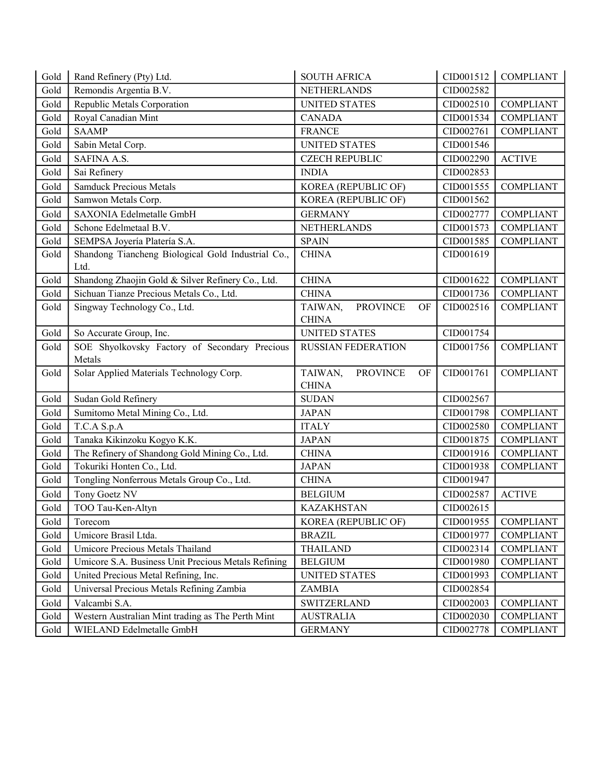| Gold | Rand Refinery (Pty) Ltd.                                   | <b>SOUTH AFRICA</b>              | CID001512 | <b>COMPLIANT</b> |
|------|------------------------------------------------------------|----------------------------------|-----------|------------------|
| Gold | Remondis Argentia B.V.                                     | <b>NETHERLANDS</b>               | CID002582 |                  |
| Gold | Republic Metals Corporation                                | <b>UNITED STATES</b>             | CID002510 | <b>COMPLIANT</b> |
| Gold | Royal Canadian Mint                                        | <b>CANADA</b>                    | CID001534 | <b>COMPLIANT</b> |
| Gold | <b>SAAMP</b>                                               | <b>FRANCE</b>                    | CID002761 | <b>COMPLIANT</b> |
| Gold | Sabin Metal Corp.                                          | <b>UNITED STATES</b>             | CID001546 |                  |
| Gold | SAFINA A.S.                                                | <b>CZECH REPUBLIC</b>            | CID002290 | <b>ACTIVE</b>    |
| Gold | Sai Refinery                                               | <b>INDIA</b>                     | CID002853 |                  |
| Gold | <b>Samduck Precious Metals</b>                             | KOREA (REPUBLIC OF)              | CID001555 | <b>COMPLIANT</b> |
| Gold | Samwon Metals Corp.                                        | KOREA (REPUBLIC OF)              | CID001562 |                  |
| Gold | SAXONIA Edelmetalle GmbH                                   | <b>GERMANY</b>                   | CID002777 | <b>COMPLIANT</b> |
| Gold | Schone Edelmetaal B.V.                                     | NETHERLANDS                      | CID001573 | <b>COMPLIANT</b> |
| Gold | SEMPSA Joyería Platería S.A.                               | <b>SPAIN</b>                     | CID001585 | <b>COMPLIANT</b> |
| Gold | Shandong Tiancheng Biological Gold Industrial Co.,<br>Ltd. | <b>CHINA</b>                     | CID001619 |                  |
| Gold | Shandong Zhaojin Gold & Silver Refinery Co., Ltd.          | <b>CHINA</b>                     | CID001622 | <b>COMPLIANT</b> |
| Gold | Sichuan Tianze Precious Metals Co., Ltd.                   | <b>CHINA</b>                     | CID001736 | <b>COMPLIANT</b> |
| Gold | Singway Technology Co., Ltd.                               | <b>PROVINCE</b><br>TAIWAN,<br>OF | CID002516 | <b>COMPLIANT</b> |
|      |                                                            | <b>CHINA</b>                     |           |                  |
| Gold | So Accurate Group, Inc.                                    | <b>UNITED STATES</b>             | CID001754 |                  |
| Gold | SOE Shyolkovsky Factory of Secondary Precious              | <b>RUSSIAN FEDERATION</b>        | CID001756 | <b>COMPLIANT</b> |
|      | Metals                                                     |                                  |           |                  |
| Gold | Solar Applied Materials Technology Corp.                   | TAIWAN,<br><b>PROVINCE</b><br>OF | CID001761 | <b>COMPLIANT</b> |
|      |                                                            | <b>CHINA</b>                     |           |                  |
| Gold | Sudan Gold Refinery                                        | <b>SUDAN</b>                     | CID002567 |                  |
| Gold | Sumitomo Metal Mining Co., Ltd.                            | <b>JAPAN</b>                     | CID001798 | <b>COMPLIANT</b> |
| Gold | T.C.A S.p.A                                                | <b>ITALY</b>                     | CID002580 | <b>COMPLIANT</b> |
| Gold | Tanaka Kikinzoku Kogyo K.K.                                | <b>JAPAN</b>                     | CID001875 | <b>COMPLIANT</b> |
| Gold | The Refinery of Shandong Gold Mining Co., Ltd.             | <b>CHINA</b>                     | CID001916 | <b>COMPLIANT</b> |
| Gold | Tokuriki Honten Co., Ltd.                                  | <b>JAPAN</b>                     | CID001938 | <b>COMPLIANT</b> |
| Gold | Tongling Nonferrous Metals Group Co., Ltd.                 | <b>CHINA</b>                     | CID001947 |                  |
| Gold | Tony Goetz NV                                              | <b>BELGIUM</b>                   | CID002587 | <b>ACTIVE</b>    |
| Gold | TOO Tau-Ken-Altyn                                          | <b>KAZAKHSTAN</b>                | CID002615 |                  |
| Gold | Torecom                                                    | KOREA (REPUBLIC OF)              | CID001955 | <b>COMPLIANT</b> |
| Gold | Umicore Brasil Ltda.                                       | <b>BRAZIL</b>                    | CID001977 | <b>COMPLIANT</b> |
| Gold | Umicore Precious Metals Thailand                           | <b>THAILAND</b>                  | CID002314 | <b>COMPLIANT</b> |
| Gold | Umicore S.A. Business Unit Precious Metals Refining        | <b>BELGIUM</b>                   | CID001980 | <b>COMPLIANT</b> |
| Gold | United Precious Metal Refining, Inc.                       | <b>UNITED STATES</b>             | CID001993 | <b>COMPLIANT</b> |
| Gold | Universal Precious Metals Refining Zambia                  | ZAMBIA                           | CID002854 |                  |
| Gold | Valcambi S.A.                                              | <b>SWITZERLAND</b>               | CID002003 | <b>COMPLIANT</b> |
| Gold | Western Australian Mint trading as The Perth Mint          | <b>AUSTRALIA</b>                 | CID002030 | <b>COMPLIANT</b> |
| Gold | WIELAND Edelmetalle GmbH                                   | <b>GERMANY</b>                   | CID002778 | <b>COMPLIANT</b> |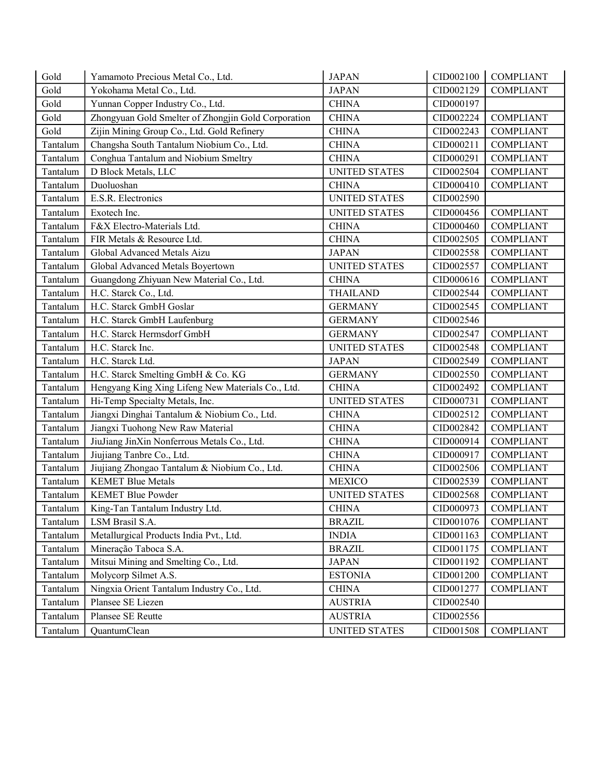| Gold     | Yamamoto Precious Metal Co., Ltd.                   | <b>JAPAN</b>         | CID002100 | <b>COMPLIANT</b> |
|----------|-----------------------------------------------------|----------------------|-----------|------------------|
| Gold     | Yokohama Metal Co., Ltd.                            | <b>JAPAN</b>         | CID002129 | <b>COMPLIANT</b> |
| Gold     | Yunnan Copper Industry Co., Ltd.                    | <b>CHINA</b>         | CID000197 |                  |
| Gold     | Zhongyuan Gold Smelter of Zhongjin Gold Corporation | <b>CHINA</b>         | CID002224 | <b>COMPLIANT</b> |
| Gold     | Zijin Mining Group Co., Ltd. Gold Refinery          | <b>CHINA</b>         | CID002243 | <b>COMPLIANT</b> |
| Tantalum | Changsha South Tantalum Niobium Co., Ltd.           | <b>CHINA</b>         | CID000211 | <b>COMPLIANT</b> |
| Tantalum | Conghua Tantalum and Niobium Smeltry                | <b>CHINA</b>         | CID000291 | <b>COMPLIANT</b> |
| Tantalum | D Block Metals, LLC                                 | <b>UNITED STATES</b> | CID002504 | <b>COMPLIANT</b> |
| Tantalum | Duoluoshan                                          | <b>CHINA</b>         | CID000410 | <b>COMPLIANT</b> |
| Tantalum | E.S.R. Electronics                                  | <b>UNITED STATES</b> | CID002590 |                  |
| Tantalum | Exotech Inc.                                        | <b>UNITED STATES</b> | CID000456 | <b>COMPLIANT</b> |
| Tantalum | F&X Electro-Materials Ltd.                          | <b>CHINA</b>         | CID000460 | <b>COMPLIANT</b> |
| Tantalum | FIR Metals & Resource Ltd.                          | <b>CHINA</b>         | CID002505 | <b>COMPLIANT</b> |
| Tantalum | Global Advanced Metals Aizu                         | <b>JAPAN</b>         | CID002558 | <b>COMPLIANT</b> |
| Tantalum | Global Advanced Metals Boyertown                    | <b>UNITED STATES</b> | CID002557 | <b>COMPLIANT</b> |
| Tantalum | Guangdong Zhiyuan New Material Co., Ltd.            | <b>CHINA</b>         | CID000616 | <b>COMPLIANT</b> |
| Tantalum | H.C. Starck Co., Ltd.                               | <b>THAILAND</b>      | CID002544 | <b>COMPLIANT</b> |
| Tantalum | H.C. Starck GmbH Goslar                             | <b>GERMANY</b>       | CID002545 | <b>COMPLIANT</b> |
| Tantalum | H.C. Starck GmbH Laufenburg                         | <b>GERMANY</b>       | CID002546 |                  |
| Tantalum | H.C. Starck Hermsdorf GmbH                          | <b>GERMANY</b>       | CID002547 | <b>COMPLIANT</b> |
| Tantalum | H.C. Starck Inc.                                    | <b>UNITED STATES</b> | CID002548 | <b>COMPLIANT</b> |
| Tantalum | H.C. Starck Ltd.                                    | <b>JAPAN</b>         | CID002549 | <b>COMPLIANT</b> |
| Tantalum | H.C. Starck Smelting GmbH & Co. KG                  | <b>GERMANY</b>       | CID002550 | <b>COMPLIANT</b> |
| Tantalum | Hengyang King Xing Lifeng New Materials Co., Ltd.   | <b>CHINA</b>         | CID002492 | <b>COMPLIANT</b> |
| Tantalum | Hi-Temp Specialty Metals, Inc.                      | <b>UNITED STATES</b> | CID000731 | <b>COMPLIANT</b> |
| Tantalum | Jiangxi Dinghai Tantalum & Niobium Co., Ltd.        | <b>CHINA</b>         | CID002512 | <b>COMPLIANT</b> |
| Tantalum | Jiangxi Tuohong New Raw Material                    | <b>CHINA</b>         | CID002842 | <b>COMPLIANT</b> |
| Tantalum | JiuJiang JinXin Nonferrous Metals Co., Ltd.         | <b>CHINA</b>         | CID000914 | <b>COMPLIANT</b> |
| Tantalum | Jiujiang Tanbre Co., Ltd.                           | <b>CHINA</b>         | CID000917 | <b>COMPLIANT</b> |
| Tantalum | Jiujiang Zhongao Tantalum & Niobium Co., Ltd.       | <b>CHINA</b>         | CID002506 | <b>COMPLIANT</b> |
| Tantalum | <b>KEMET Blue Metals</b>                            | <b>MEXICO</b>        | CID002539 | <b>COMPLIANT</b> |
| Tantalum | <b>KEMET Blue Powder</b>                            | <b>UNITED STATES</b> | CID002568 | <b>COMPLIANT</b> |
| Tantalum | King-Tan Tantalum Industry Ltd.                     | <b>CHINA</b>         | CID000973 | <b>COMPLIANT</b> |
| Tantalum | LSM Brasil S.A.                                     | <b>BRAZIL</b>        | CID001076 | <b>COMPLIANT</b> |
| Tantalum | Metallurgical Products India Pvt., Ltd.             | <b>INDIA</b>         | CID001163 | <b>COMPLIANT</b> |
| Tantalum | Mineração Taboca S.A.                               | <b>BRAZIL</b>        | CID001175 | <b>COMPLIANT</b> |
| Tantalum | Mitsui Mining and Smelting Co., Ltd.                | <b>JAPAN</b>         | CID001192 | <b>COMPLIANT</b> |
| Tantalum | Molycorp Silmet A.S.                                | <b>ESTONIA</b>       | CID001200 | <b>COMPLIANT</b> |
| Tantalum | Ningxia Orient Tantalum Industry Co., Ltd.          | <b>CHINA</b>         | CID001277 | <b>COMPLIANT</b> |
| Tantalum | Plansee SE Liezen                                   | <b>AUSTRIA</b>       | CID002540 |                  |
| Tantalum | Plansee SE Reutte                                   | <b>AUSTRIA</b>       | CID002556 |                  |
| Tantalum | QuantumClean                                        | UNITED STATES        | CID001508 | <b>COMPLIANT</b> |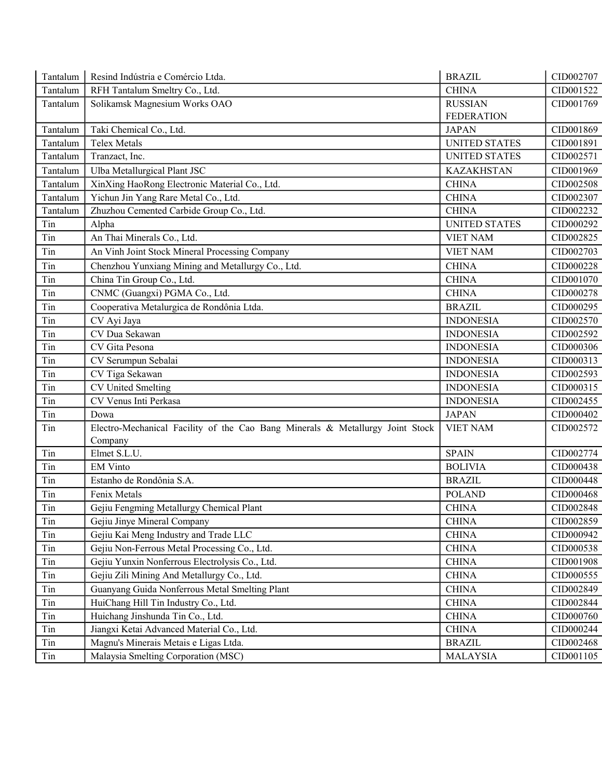| Tantalum | Resind Indústria e Comércio Ltda.                                             | <b>BRAZIL</b>        | CID002707 |
|----------|-------------------------------------------------------------------------------|----------------------|-----------|
| Tantalum | RFH Tantalum Smeltry Co., Ltd.                                                | <b>CHINA</b>         | CID001522 |
| Tantalum | Solikamsk Magnesium Works OAO                                                 | <b>RUSSIAN</b>       | CID001769 |
|          |                                                                               | <b>FEDERATION</b>    |           |
| Tantalum | Taki Chemical Co., Ltd.                                                       | <b>JAPAN</b>         | CID001869 |
| Tantalum | <b>Telex Metals</b>                                                           | <b>UNITED STATES</b> | CID001891 |
| Tantalum | Tranzact, Inc.                                                                | <b>UNITED STATES</b> | CID002571 |
| Tantalum | Ulba Metallurgical Plant JSC                                                  | <b>KAZAKHSTAN</b>    | CID001969 |
| Tantalum | XinXing HaoRong Electronic Material Co., Ltd.                                 | <b>CHINA</b>         | CID002508 |
| Tantalum | Yichun Jin Yang Rare Metal Co., Ltd.                                          | <b>CHINA</b>         | CID002307 |
| Tantalum | Zhuzhou Cemented Carbide Group Co., Ltd.                                      | <b>CHINA</b>         | CID002232 |
| Tin      | Alpha                                                                         | <b>UNITED STATES</b> | CID000292 |
| Tin      | An Thai Minerals Co., Ltd.                                                    | <b>VIET NAM</b>      | CID002825 |
| Tin      | An Vinh Joint Stock Mineral Processing Company                                | <b>VIET NAM</b>      | CID002703 |
| Tin      | Chenzhou Yunxiang Mining and Metallurgy Co., Ltd.                             | <b>CHINA</b>         | CID000228 |
| Tin      | China Tin Group Co., Ltd.                                                     | <b>CHINA</b>         | CID001070 |
| Tin      | CNMC (Guangxi) PGMA Co., Ltd.                                                 | <b>CHINA</b>         | CID000278 |
| Tin      | Cooperativa Metalurgica de Rondônia Ltda.                                     | <b>BRAZIL</b>        | CID000295 |
| Tin      | CV Ayi Jaya                                                                   | <b>INDONESIA</b>     | CID002570 |
| Tin      | CV Dua Sekawan                                                                | <b>INDONESIA</b>     | CID002592 |
| Tin      | CV Gita Pesona                                                                | <b>INDONESIA</b>     | CID000306 |
| Tin      | CV Serumpun Sebalai                                                           | <b>INDONESIA</b>     | CID000313 |
| Tin      | CV Tiga Sekawan                                                               | <b>INDONESIA</b>     | CID002593 |
| Tin      | CV United Smelting                                                            | <b>INDONESIA</b>     | CID000315 |
| Tin      | CV Venus Inti Perkasa                                                         | <b>INDONESIA</b>     | CID002455 |
| Tin      | Dowa                                                                          | <b>JAPAN</b>         | CID000402 |
| Tin      | Electro-Mechanical Facility of the Cao Bang Minerals & Metallurgy Joint Stock | <b>VIET NAM</b>      | CID002572 |
|          | Company                                                                       |                      |           |
| Tin      | Elmet S.L.U.                                                                  | <b>SPAIN</b>         | CID002774 |
| Tin      | <b>EM Vinto</b>                                                               | <b>BOLIVIA</b>       | CID000438 |
| Tin      | Estanho de Rondônia S.A.                                                      | <b>BRAZIL</b>        | CID000448 |
| Tin      | Fenix Metals                                                                  | <b>POLAND</b>        | CID000468 |
| Tin      | Gejiu Fengming Metallurgy Chemical Plant                                      | <b>CHINA</b>         | CID002848 |
| Tin      | Gejiu Jinye Mineral Company                                                   | <b>CHINA</b>         | CID002859 |
| Tin      | Gejiu Kai Meng Industry and Trade LLC                                         | <b>CHINA</b>         | CID000942 |
| Tin      | Gejiu Non-Ferrous Metal Processing Co., Ltd.                                  | <b>CHINA</b>         | CID000538 |
| Tin      | Gejiu Yunxin Nonferrous Electrolysis Co., Ltd.                                | <b>CHINA</b>         | CID001908 |
| Tin      | Gejiu Zili Mining And Metallurgy Co., Ltd.                                    | <b>CHINA</b>         | CID000555 |
| Tin      | Guanyang Guida Nonferrous Metal Smelting Plant                                | <b>CHINA</b>         | CID002849 |
| Tin      | HuiChang Hill Tin Industry Co., Ltd.                                          | <b>CHINA</b>         | CID002844 |
| Tin      | Huichang Jinshunda Tin Co., Ltd.                                              | <b>CHINA</b>         | CID000760 |
| Tin      | Jiangxi Ketai Advanced Material Co., Ltd.                                     | <b>CHINA</b>         | CID000244 |
| Tin      | Magnu's Minerais Metais e Ligas Ltda.                                         | <b>BRAZIL</b>        | CID002468 |
| Tin      | Malaysia Smelting Corporation (MSC)                                           | <b>MALAYSIA</b>      | CID001105 |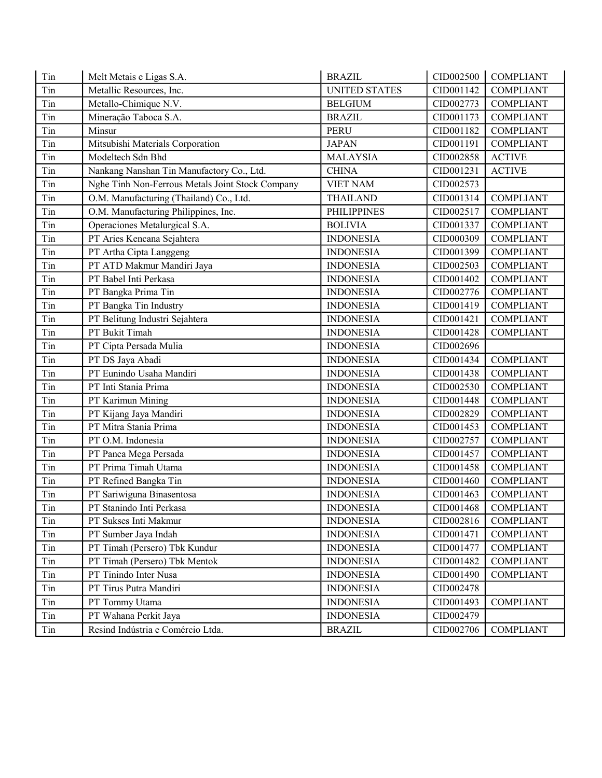| Tin | Melt Metais e Ligas S.A.                         | <b>BRAZIL</b>        | CID002500 | <b>COMPLIANT</b> |
|-----|--------------------------------------------------|----------------------|-----------|------------------|
| Tin | Metallic Resources, Inc.                         | <b>UNITED STATES</b> | CID001142 | <b>COMPLIANT</b> |
| Tin | Metallo-Chimique N.V.                            | <b>BELGIUM</b>       | CID002773 | <b>COMPLIANT</b> |
| Tin | Mineração Taboca S.A.                            | <b>BRAZIL</b>        | CID001173 | <b>COMPLIANT</b> |
| Tin | Minsur                                           | PERU                 | CID001182 | <b>COMPLIANT</b> |
| Tin | Mitsubishi Materials Corporation                 | <b>JAPAN</b>         | CID001191 | <b>COMPLIANT</b> |
| Tin | Modeltech Sdn Bhd                                | <b>MALAYSIA</b>      | CID002858 | <b>ACTIVE</b>    |
| Tin | Nankang Nanshan Tin Manufactory Co., Ltd.        | <b>CHINA</b>         | CID001231 | <b>ACTIVE</b>    |
| Tin | Nghe Tinh Non-Ferrous Metals Joint Stock Company | <b>VIET NAM</b>      | CID002573 |                  |
| Tin | O.M. Manufacturing (Thailand) Co., Ltd.          | <b>THAILAND</b>      | CID001314 | <b>COMPLIANT</b> |
| Tin | O.M. Manufacturing Philippines, Inc.             | <b>PHILIPPINES</b>   | CID002517 | <b>COMPLIANT</b> |
| Tin | Operaciones Metalurgical S.A.                    | <b>BOLIVIA</b>       | CID001337 | <b>COMPLIANT</b> |
| Tin | PT Aries Kencana Sejahtera                       | <b>INDONESIA</b>     | CID000309 | <b>COMPLIANT</b> |
| Tin | PT Artha Cipta Langgeng                          | <b>INDONESIA</b>     | CID001399 | <b>COMPLIANT</b> |
| Tin | PT ATD Makmur Mandiri Jaya                       | <b>INDONESIA</b>     | CID002503 | <b>COMPLIANT</b> |
| Tin | PT Babel Inti Perkasa                            | <b>INDONESIA</b>     | CID001402 | <b>COMPLIANT</b> |
| Tin | PT Bangka Prima Tin                              | <b>INDONESIA</b>     | CID002776 | <b>COMPLIANT</b> |
| Tin | PT Bangka Tin Industry                           | <b>INDONESIA</b>     | CID001419 | <b>COMPLIANT</b> |
| Tin | PT Belitung Industri Sejahtera                   | <b>INDONESIA</b>     | CID001421 | <b>COMPLIANT</b> |
| Tin | PT Bukit Timah                                   | <b>INDONESIA</b>     | CID001428 | <b>COMPLIANT</b> |
| Tin | PT Cipta Persada Mulia                           | <b>INDONESIA</b>     | CID002696 |                  |
| Tin | PT DS Jaya Abadi                                 | <b>INDONESIA</b>     | CID001434 | <b>COMPLIANT</b> |
| Tin | PT Eunindo Usaha Mandiri                         | <b>INDONESIA</b>     | CID001438 | <b>COMPLIANT</b> |
| Tin | PT Inti Stania Prima                             | <b>INDONESIA</b>     | CID002530 | <b>COMPLIANT</b> |
| Tin | PT Karimun Mining                                | <b>INDONESIA</b>     | CID001448 | <b>COMPLIANT</b> |
| Tin | PT Kijang Jaya Mandiri                           | <b>INDONESIA</b>     | CID002829 | <b>COMPLIANT</b> |
| Tin | PT Mitra Stania Prima                            | <b>INDONESIA</b>     | CID001453 | <b>COMPLIANT</b> |
| Tin | PT O.M. Indonesia                                | <b>INDONESIA</b>     | CID002757 | <b>COMPLIANT</b> |
| Tin | PT Panca Mega Persada                            | <b>INDONESIA</b>     | CID001457 | <b>COMPLIANT</b> |
| Tin | PT Prima Timah Utama                             | <b>INDONESIA</b>     | CID001458 | <b>COMPLIANT</b> |
| Tin | PT Refined Bangka Tin                            | <b>INDONESIA</b>     | CID001460 | <b>COMPLIANT</b> |
| Tin | PT Sariwiguna Binasentosa                        | <b>INDONESIA</b>     | CID001463 | <b>COMPLIANT</b> |
| Tin | PT Stanindo Inti Perkasa                         | <b>INDONESIA</b>     | CID001468 | <b>COMPLIANT</b> |
| Tin | PT Sukses Inti Makmur                            | <b>INDONESIA</b>     | CID002816 | <b>COMPLIANT</b> |
| Tin | PT Sumber Jaya Indah                             | <b>INDONESIA</b>     | CID001471 | <b>COMPLIANT</b> |
| Tin | PT Timah (Persero) Tbk Kundur                    | <b>INDONESIA</b>     | CID001477 | <b>COMPLIANT</b> |
| Tin | PT Timah (Persero) Tbk Mentok                    | <b>INDONESIA</b>     | CID001482 | <b>COMPLIANT</b> |
| Tin | PT Tinindo Inter Nusa                            | <b>INDONESIA</b>     | CID001490 | <b>COMPLIANT</b> |
| Tin | PT Tirus Putra Mandiri                           | <b>INDONESIA</b>     | CID002478 |                  |
| Tin | PT Tommy Utama                                   | <b>INDONESIA</b>     | CID001493 | <b>COMPLIANT</b> |
| Tin | PT Wahana Perkit Jaya                            | <b>INDONESIA</b>     | CID002479 |                  |
| Tin | Resind Indústria e Comércio Ltda.                | <b>BRAZIL</b>        | CID002706 | <b>COMPLIANT</b> |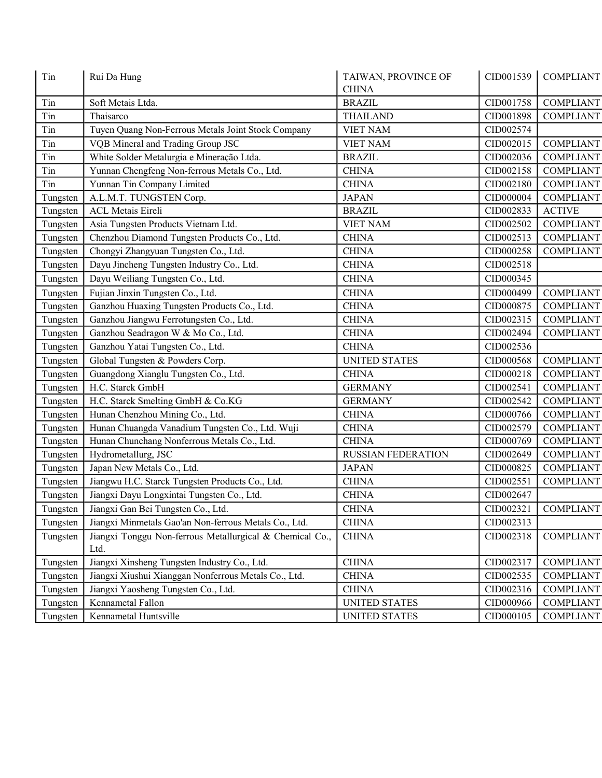| Tin<br>Rui Da Hung<br><b>CHINA</b> |                                                                  | TAIWAN, PROVINCE OF       | CID001539 | <b>COMPLIANT</b>      |
|------------------------------------|------------------------------------------------------------------|---------------------------|-----------|-----------------------|
| Tin                                | Soft Metais Ltda.                                                | <b>BRAZIL</b>             | CID001758 | <b>COMPLIANT</b>      |
| Tin                                | Thaisarco                                                        | <b>THAILAND</b>           | CID001898 | <b>COMPLIANT</b>      |
| Tin                                | Tuyen Quang Non-Ferrous Metals Joint Stock Company               | <b>VIET NAM</b>           | CID002574 |                       |
| Tin                                | VQB Mineral and Trading Group JSC                                | <b>VIET NAM</b>           | CID002015 | <b>COMPLIANT</b>      |
| Tin                                | White Solder Metalurgia e Mineração Ltda.                        | <b>BRAZIL</b>             | CID002036 | <b>COMPLIANT</b>      |
| Tin                                | Yunnan Chengfeng Non-ferrous Metals Co., Ltd.                    | <b>CHINA</b>              | CID002158 | <b>COMPLIANT</b>      |
| Tin                                | Yunnan Tin Company Limited                                       | <b>CHINA</b>              | CID002180 | <b>COMPLIANT</b>      |
| Tungsten                           | A.L.M.T. TUNGSTEN Corp.                                          | <b>JAPAN</b>              | CID000004 | <b>COMPLIANT</b>      |
| Tungsten                           | <b>ACL Metais Eireli</b>                                         | <b>BRAZIL</b>             | CID002833 | <b>ACTIVE</b>         |
| Tungsten                           | Asia Tungsten Products Vietnam Ltd.                              | <b>VIET NAM</b>           | CID002502 | <b>COMPLIANT</b>      |
| Tungsten                           | Chenzhou Diamond Tungsten Products Co., Ltd.                     | <b>CHINA</b>              | CID002513 | <b>COMPLIANT</b>      |
| Tungsten                           | Chongyi Zhangyuan Tungsten Co., Ltd.                             | <b>CHINA</b>              | CID000258 | <b>COMPLIANT</b>      |
| Tungsten                           | Dayu Jincheng Tungsten Industry Co., Ltd.                        | <b>CHINA</b>              | CID002518 |                       |
| Tungsten                           | Dayu Weiliang Tungsten Co., Ltd.                                 | <b>CHINA</b>              | CID000345 |                       |
| Tungsten                           | Fujian Jinxin Tungsten Co., Ltd.                                 | <b>CHINA</b>              | CID000499 | <b>COMPLIANT</b>      |
| Tungsten                           | Ganzhou Huaxing Tungsten Products Co., Ltd.                      | <b>CHINA</b>              | CID000875 | <b>COMPLIANT</b>      |
| Tungsten                           | Ganzhou Jiangwu Ferrotungsten Co., Ltd.                          | <b>CHINA</b>              | CID002315 | <b>COMPLIANT</b>      |
| Tungsten                           | Ganzhou Seadragon W & Mo Co., Ltd.                               | <b>CHINA</b>              | CID002494 | <b>COMPLIANT</b>      |
| Tungsten                           | Ganzhou Yatai Tungsten Co., Ltd.                                 | <b>CHINA</b>              | CID002536 |                       |
| Tungsten                           | Global Tungsten & Powders Corp.                                  | <b>UNITED STATES</b>      | CID000568 | <b>COMPLIANT</b>      |
| Tungsten                           | Guangdong Xianglu Tungsten Co., Ltd.                             | <b>CHINA</b>              | CID000218 | <b>COMPLIANT</b>      |
| Tungsten                           | H.C. Starck GmbH                                                 | <b>GERMANY</b>            | CID002541 | <b>COMPLIANT</b>      |
| Tungsten                           | H.C. Starck Smelting GmbH & Co.KG                                | <b>GERMANY</b>            | CID002542 | <b>COMPLIANT</b>      |
| Tungsten                           | Hunan Chenzhou Mining Co., Ltd.                                  | <b>CHINA</b>              | CID000766 | <b>COMPLIANT</b>      |
| Tungsten                           | Hunan Chuangda Vanadium Tungsten Co., Ltd. Wuji                  | <b>CHINA</b>              | CID002579 | <b>COMPLIANT</b>      |
| Tungsten                           | Hunan Chunchang Nonferrous Metals Co., Ltd.                      | <b>CHINA</b>              | CID000769 | <b>COMPLIANT</b>      |
| Tungsten                           | Hydrometallurg, JSC                                              | <b>RUSSIAN FEDERATION</b> | CID002649 | <b>COMPLIANT</b>      |
| Tungsten                           | Japan New Metals Co., Ltd.                                       | <b>JAPAN</b>              | CID000825 | <b>COMPLIANT</b>      |
| Tungsten                           | Jiangwu H.C. Starck Tungsten Products Co., Ltd.                  | <b>CHINA</b>              | CID002551 | <b>COMPLIANT</b>      |
| Tungsten                           | Jiangxi Dayu Longxintai Tungsten Co., Ltd.                       | <b>CHINA</b>              | CID002647 |                       |
| Tungsten                           | Jiangxi Gan Bei Tungsten Co., Ltd.                               | <b>CHINA</b>              |           | CID002321   COMPLIANT |
| Tungsten                           | Jiangxi Minmetals Gao'an Non-ferrous Metals Co., Ltd.            | <b>CHINA</b>              | CID002313 |                       |
| Tungsten                           | Jiangxi Tonggu Non-ferrous Metallurgical & Chemical Co.,<br>Ltd. | <b>CHINA</b>              | CID002318 | <b>COMPLIANT</b>      |
| Tungsten                           | Jiangxi Xinsheng Tungsten Industry Co., Ltd.                     | <b>CHINA</b>              | CID002317 | <b>COMPLIANT</b>      |
| Tungsten                           | Jiangxi Xiushui Xianggan Nonferrous Metals Co., Ltd.             | <b>CHINA</b>              | CID002535 | <b>COMPLIANT</b>      |
| Tungsten                           | Jiangxi Yaosheng Tungsten Co., Ltd.                              | <b>CHINA</b>              | CID002316 | <b>COMPLIANT</b>      |
| Tungsten                           | Kennametal Fallon                                                | <b>UNITED STATES</b>      | CID000966 | <b>COMPLIANT</b>      |
| Tungsten                           | Kennametal Huntsville                                            | <b>UNITED STATES</b>      | CID000105 | <b>COMPLIANT</b>      |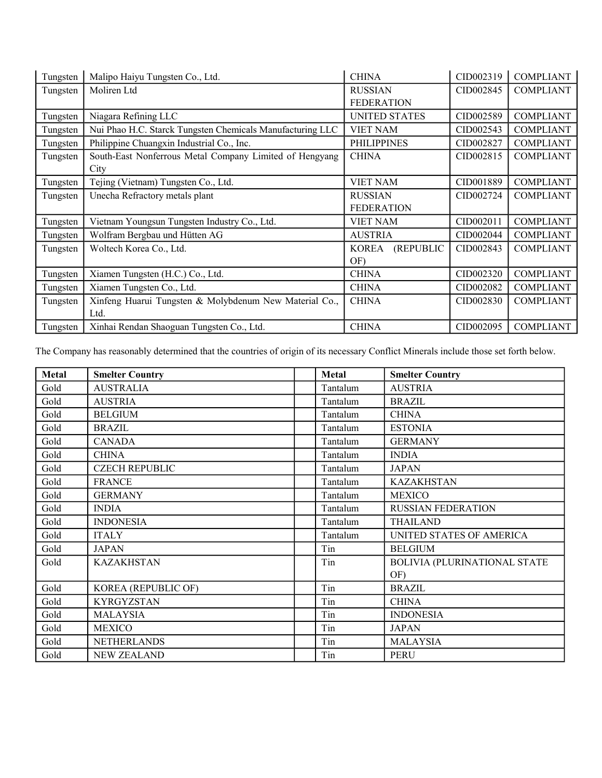| Tungsten | Malipo Haiyu Tungsten Co., Ltd.                           | <b>CHINA</b>              | CID002319 | <b>COMPLIANT</b> |
|----------|-----------------------------------------------------------|---------------------------|-----------|------------------|
| Tungsten | Moliren Ltd                                               | <b>RUSSIAN</b>            | CID002845 | <b>COMPLIANT</b> |
|          |                                                           | <b>FEDERATION</b>         |           |                  |
| Tungsten | Niagara Refining LLC                                      | <b>UNITED STATES</b>      | CID002589 | <b>COMPLIANT</b> |
| Tungsten | Nui Phao H.C. Starck Tungsten Chemicals Manufacturing LLC | <b>VIET NAM</b>           | CID002543 | <b>COMPLIANT</b> |
| Tungsten | Philippine Chuangxin Industrial Co., Inc.                 | <b>PHILIPPINES</b>        | CID002827 | <b>COMPLIANT</b> |
| Tungsten | South-East Nonferrous Metal Company Limited of Hengyang   | <b>CHINA</b>              | CID002815 | <b>COMPLIANT</b> |
|          | City                                                      |                           |           |                  |
| Tungsten | Tejing (Vietnam) Tungsten Co., Ltd.                       | <b>VIET NAM</b>           | CID001889 | <b>COMPLIANT</b> |
| Tungsten | Unecha Refractory metals plant                            | <b>RUSSIAN</b>            | CID002724 | <b>COMPLIANT</b> |
|          |                                                           | <b>FEDERATION</b>         |           |                  |
| Tungsten | Vietnam Youngsun Tungsten Industry Co., Ltd.              | <b>VIET NAM</b>           | CID002011 | <b>COMPLIANT</b> |
| Tungsten | Wolfram Bergbau und Hütten AG                             | <b>AUSTRIA</b>            | CID002044 | <b>COMPLIANT</b> |
| Tungsten | Woltech Korea Co., Ltd.                                   | (REPUBLIC<br><b>KOREA</b> | CID002843 | <b>COMPLIANT</b> |
|          |                                                           | OF)                       |           |                  |
| Tungsten | Xiamen Tungsten (H.C.) Co., Ltd.                          | <b>CHINA</b>              | CID002320 | <b>COMPLIANT</b> |
| Tungsten | Xiamen Tungsten Co., Ltd.                                 | <b>CHINA</b>              | CID002082 | <b>COMPLIANT</b> |
| Tungsten | Xinfeng Huarui Tungsten & Molybdenum New Material Co.,    | <b>CHINA</b>              | CID002830 | <b>COMPLIANT</b> |
|          | Ltd.                                                      |                           |           |                  |
| Tungsten | Xinhai Rendan Shaoguan Tungsten Co., Ltd.                 | <b>CHINA</b>              | CID002095 | <b>COMPLIANT</b> |

The Company has reasonably determined that the countries of origin of its necessary Conflict Minerals include those set forth below.

| Metal | <b>Smelter Country</b> | <b>Metal</b> | <b>Smelter Country</b>       |
|-------|------------------------|--------------|------------------------------|
| Gold  | <b>AUSTRALIA</b>       | Tantalum     | <b>AUSTRIA</b>               |
| Gold  | <b>AUSTRIA</b>         | Tantalum     | <b>BRAZIL</b>                |
| Gold  | <b>BELGIUM</b>         | Tantalum     | <b>CHINA</b>                 |
| Gold  | <b>BRAZIL</b>          | Tantalum     | <b>ESTONIA</b>               |
| Gold  | <b>CANADA</b>          | Tantalum     | <b>GERMANY</b>               |
| Gold  | <b>CHINA</b>           | Tantalum     | <b>INDIA</b>                 |
| Gold  | <b>CZECH REPUBLIC</b>  | Tantalum     | <b>JAPAN</b>                 |
| Gold  | <b>FRANCE</b>          | Tantalum     | <b>KAZAKHSTAN</b>            |
| Gold  | <b>GERMANY</b>         | Tantalum     | <b>MEXICO</b>                |
| Gold  | <b>INDIA</b>           | Tantalum     | <b>RUSSIAN FEDERATION</b>    |
| Gold  | <b>INDONESIA</b>       | Tantalum     | <b>THAILAND</b>              |
| Gold  | <b>ITALY</b>           | Tantalum     | UNITED STATES OF AMERICA     |
| Gold  | <b>JAPAN</b>           | Tin          | <b>BELGIUM</b>               |
| Gold  | <b>KAZAKHSTAN</b>      | Tin          | BOLIVIA (PLURINATIONAL STATE |
|       |                        |              | OF)                          |
| Gold  | KOREA (REPUBLIC OF)    | Tin          | <b>BRAZIL</b>                |
| Gold  | <b>KYRGYZSTAN</b>      | Tin          | <b>CHINA</b>                 |
| Gold  | <b>MALAYSIA</b>        | Tin          | <b>INDONESIA</b>             |
| Gold  | <b>MEXICO</b>          | Tin          | <b>JAPAN</b>                 |
| Gold  | <b>NETHERLANDS</b>     | Tin          | <b>MALAYSIA</b>              |
| Gold  | <b>NEW ZEALAND</b>     | Tin          | <b>PERU</b>                  |